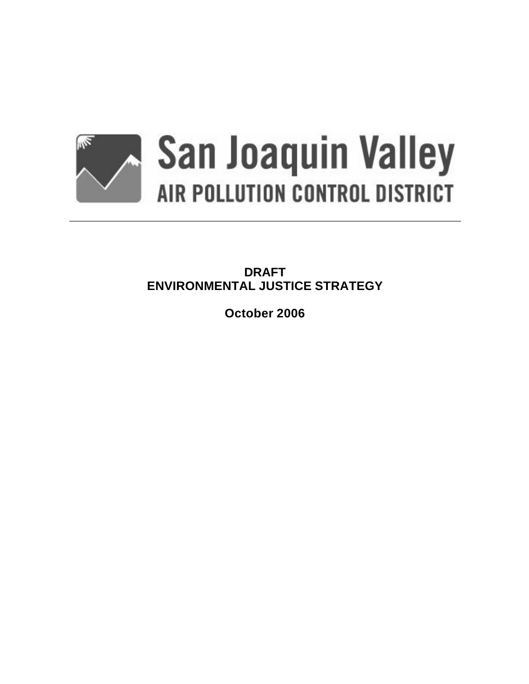

**DRAFT ENVIRONMENTAL JUSTICE STRATEGY**

**October 2006**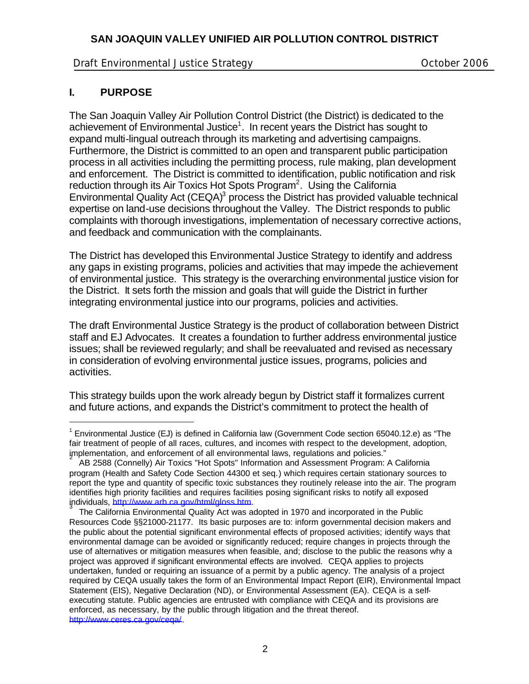### Draft Environmental Justice Strategy **Draft Environmental Austice Strategy Contact Contact 2006**

### **I. PURPOSE**

i<br>Li

The San Joaquin Valley Air Pollution Control District (the District) is dedicated to the achievement of Environmental Justice<sup>1</sup>. In recent years the District has sought to expand multi-lingual outreach through its marketing and advertising campaigns. Furthermore, the District is committed to an open and transparent public participation process in all activities including the permitting process, rule making, plan development and enforcement. The District is committed to identification, public notification and risk reduction through its Air Toxics Hot Spots Program<sup>2</sup>. Using the California Environmental Quality Act (CEQA) $3$  process the District has provided valuable technical expertise on land-use decisions throughout the Valley. The District responds to public complaints with thorough investigations, implementation of necessary corrective actions, and feedback and communication with the complainants.

The District has developed this Environmental Justice Strategy to identify and address any gaps in existing programs, policies and activities that may impede the achievement of environmental justice. This strategy is the overarching environmental justice vision for the District. It sets forth the mission and goals that will guide the District in further integrating environmental justice into our programs, policies and activities.

The draft Environmental Justice Strategy is the product of collaboration between District staff and EJ Advocates. It creates a foundation to further address environmental justice issues; shall be reviewed regularly; and shall be reevaluated and revised as necessary in consideration of evolving environmental justice issues, programs, policies and activities.

This strategy builds upon the work already begun by District staff it formalizes current and future actions, and expands the District's commitment to protect the health of

<sup>&</sup>lt;sup>1</sup> Environmental Justice (EJ) is defined in California law (Government Code section 65040.12.e) as "The fair treatment of people of all races, cultures, and incomes with respect to the development, adoption, implementation, and enforcement of all environmental laws, regulations and policies." <sup>2</sup>

AB 2588 (Connelly) Air Toxics "Hot Spots" Information and Assessment Program: A California program (Health and Safety Code Section 44300 et seq.) which requires certain stationary sources to report the type and quantity of specific toxic substances they routinely release into the air. The program identifies high priority facilities and requires facilities posing significant risks to notify all exposed individuals, http://www.arb.ca.gov/html/gloss.htm.<br>————————————————————

The California Environmental Quality Act was adopted in 1970 and incorporated in the Public Resources Code §§21000-21177. Its basic purposes are to: inform governmental decision makers and the public about the potential significant environmental effects of proposed activities; identify ways that environmental damage can be avoided or significantly reduced; require changes in projects through the use of alternatives or mitigation measures when feasible, and; disclose to the public the reasons why a project was approved if significant environmental effects are involved. CEQA applies to projects undertaken, funded or requiring an issuance of a permit by a public agency. The analysis of a project required by CEQA usually takes the form of an Environmental Impact Report (EIR), Environmental Impact Statement (EIS), Negative Declaration (ND), or Environmental Assessment (EA). CEQA is a selfexecuting statute. Public agencies are entrusted with compliance with CEQA and its provisions are enforced, as necessary, by the public through litigation and the threat thereof. http://www.ceres.ca.gov/ceqa/.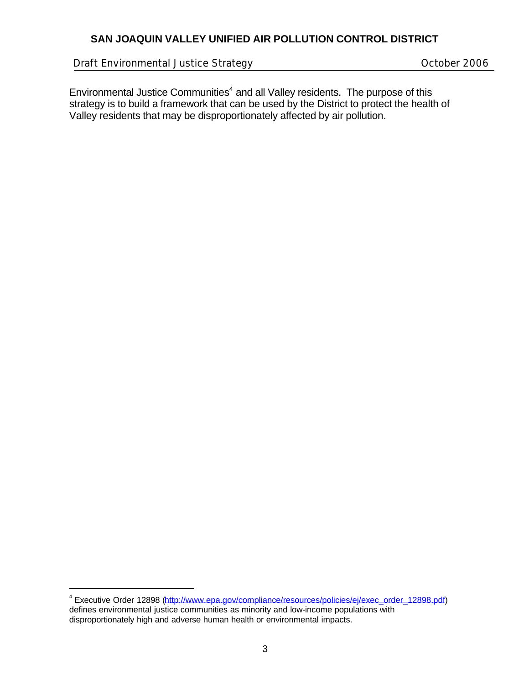Draft Environmental Justice Strategy **Draft Environmental** Justice Strategy

Environmental Justice Communities $4$  and all Valley residents. The purpose of this strategy is to build a framework that can be used by the District to protect the health of Valley residents that may be disproportionately affected by air pollution.

 4 Executive Order 12898 (http://www.epa.gov/compliance/resources/policies/ej/exec\_order\_12898.pdf) defines environmental justice communities as minority and low-income populations with disproportionately high and adverse human health or environmental impacts.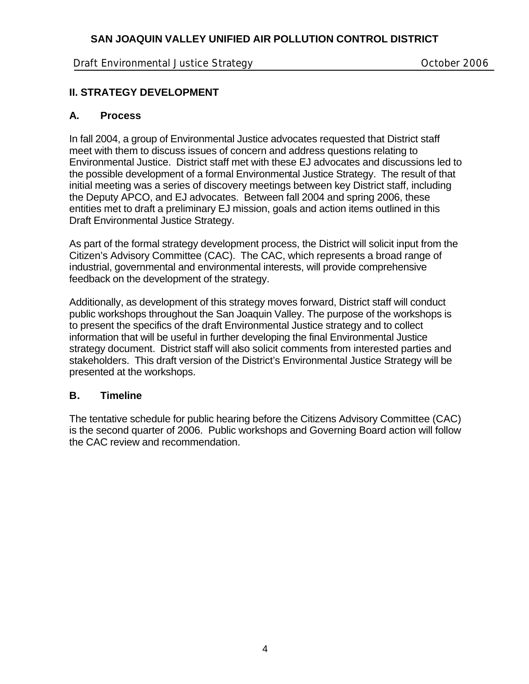Draft Environmental Justice Strategy **Draft Environmental Austice Strategy Contact Contact 2006** 

# **II. STRATEGY DEVELOPMENT**

### **A. Process**

In fall 2004, a group of Environmental Justice advocates requested that District staff meet with them to discuss issues of concern and address questions relating to Environmental Justice. District staff met with these EJ advocates and discussions led to the possible development of a formal Environmental Justice Strategy. The result of that initial meeting was a series of discovery meetings between key District staff, including the Deputy APCO, and EJ advocates. Between fall 2004 and spring 2006, these entities met to draft a preliminary EJ mission, goals and action items outlined in this Draft Environmental Justice Strategy.

As part of the formal strategy development process, the District will solicit input from the Citizen's Advisory Committee (CAC). The CAC, which represents a broad range of industrial, governmental and environmental interests, will provide comprehensive feedback on the development of the strategy.

Additionally, as development of this strategy moves forward, District staff will conduct public workshops throughout the San Joaquin Valley. The purpose of the workshops is to present the specifics of the draft Environmental Justice strategy and to collect information that will be useful in further developing the final Environmental Justice strategy document. District staff will also solicit comments from interested parties and stakeholders. This draft version of the District's Environmental Justice Strategy will be presented at the workshops.

## **B. Timeline**

The tentative schedule for public hearing before the Citizens Advisory Committee (CAC) is the second quarter of 2006. Public workshops and Governing Board action will follow the CAC review and recommendation.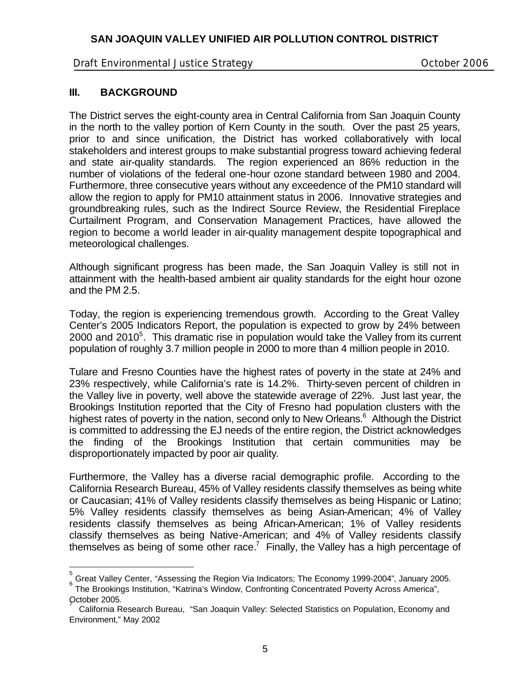Draft Environmental Justice Strategy **Draft Environmental Austice Strategy Container** 2006

#### **III. BACKGROUND**

 $\overline{\phantom{a}}$ 

The District serves the eight-county area in Central California from San Joaquin County in the north to the valley portion of Kern County in the south. Over the past 25 years, prior to and since unification, the District has worked collaboratively with local stakeholders and interest groups to make substantial progress toward achieving federal and state air-quality standards. The region experienced an 86% reduction in the number of violations of the federal one-hour ozone standard between 1980 and 2004. Furthermore, three consecutive years without any exceedence of the PM10 standard will allow the region to apply for PM10 attainment status in 2006. Innovative strategies and groundbreaking rules, such as the Indirect Source Review, the Residential Fireplace Curtailment Program, and Conservation Management Practices, have allowed the region to become a world leader in air-quality management despite topographical and meteorological challenges.

Although significant progress has been made, the San Joaquin Valley is still not in attainment with the health-based ambient air quality standards for the eight hour ozone and the PM 2.5.

Today, the region is experiencing tremendous growth. According to the Great Valley Center's 2005 Indicators Report, the population is expected to grow by 24% between 2000 and 2010 $<sup>5</sup>$ . This dramatic rise in population would take the Valley from its current</sup> population of roughly 3.7 million people in 2000 to more than 4 million people in 2010.

Tulare and Fresno Counties have the highest rates of poverty in the state at 24% and 23% respectively, while California's rate is 14.2%. Thirty-seven percent of children in the Valley live in poverty, well above the statewide average of 22%. Just last year, the Brookings Institution reported that the City of Fresno had population clusters with the highest rates of poverty in the nation, second only to New Orleans.<sup>6</sup> Although the District is committed to addressing the EJ needs of the entire region, the District acknowledges the finding of the Brookings Institution that certain communities may be disproportionately impacted by poor air quality.

Furthermore, the Valley has a diverse racial demographic profile. According to the California Research Bureau, 45% of Valley residents classify themselves as being white or Caucasian; 41% of Valley residents classify themselves as being Hispanic or Latino; 5% Valley residents classify themselves as being Asian-American; 4% of Valley residents classify themselves as being African-American; 1% of Valley residents classify themselves as being Native-American; and 4% of Valley residents classify themselves as being of some other race.<sup>7</sup> Finally, the Valley has a high percentage of

<sup>5</sup> Great Valley Center, "Assessing the Region Via Indicators; The Economy 1999-2004", January 2005. 6

The Brookings Institution, "Katrina's Window, Confronting Concentrated Poverty Across America", October 2005.

California Research Bureau, "San Joaquin Valley: Selected Statistics on Population, Economy and Environment," May 2002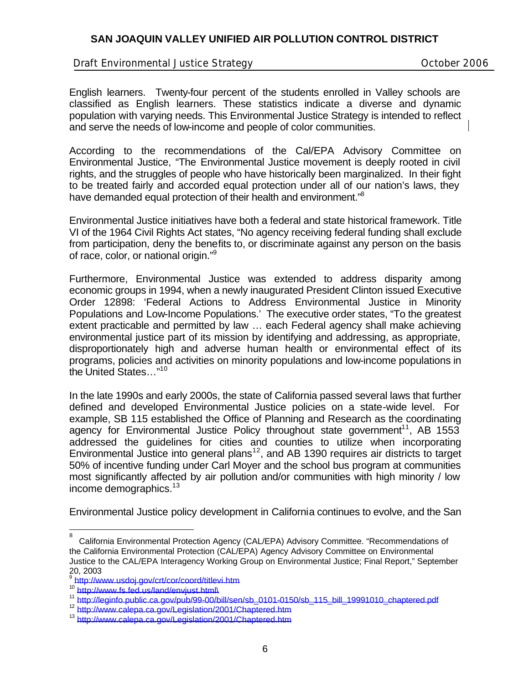Draft Environmental Justice Strategy **Draft Environmental Austice Strategy Container** 2006

English learners. Twenty-four percent of the students enrolled in Valley schools are classified as English learners. These statistics indicate a diverse and dynamic population with varying needs. This Environmental Justice Strategy is intended to reflect and serve the needs of low-income and people of color communities.

According to the recommendations of the Cal/EPA Advisory Committee on Environmental Justice, "The Environmental Justice movement is deeply rooted in civil rights, and the struggles of people who have historically been marginalized. In their fight to be treated fairly and accorded equal protection under all of our nation's laws, they have demanded equal protection of their health and environment."<sup>8</sup>

Environmental Justice initiatives have both a federal and state historical framework. Title VI of the 1964 Civil Rights Act states, "No agency receiving federal funding shall exclude from participation, deny the benefits to, or discriminate against any person on the basis of race, color, or national origin."<sup>9</sup>

Furthermore, Environmental Justice was extended to address disparity among economic groups in 1994, when a newly inaugurated President Clinton issued Executive Order 12898: 'Federal Actions to Address Environmental Justice in Minority Populations and Low-Income Populations.' The executive order states, "To the greatest extent practicable and permitted by law … each Federal agency shall make achieving environmental justice part of its mission by identifying and addressing, as appropriate, disproportionately high and adverse human health or environmental effect of its programs, policies and activities on minority populations and low-income populations in the United States..."<sup>10</sup>

In the late 1990s and early 2000s, the state of California passed several laws that further defined and developed Environmental Justice policies on a state-wide level. For example, SB 115 established the Office of Planning and Research as the coordinating agency for Environmental Justice Policy throughout state government<sup>11</sup>, AB 1553 addressed the guidelines for cities and counties to utilize when incorporating Environmental Justice into general plans<sup>12</sup>, and AB 1390 requires air districts to target 50% of incentive funding under Carl Moyer and the school bus program at communities most significantly affected by air pollution and/or communities with high minority / low income demographics.<sup>13</sup>

Environmental Justice policy development in California continues to evolve, and the San

 $\overline{\phantom{a}}$ 

<sup>8</sup> California Environmental Protection Agency (CAL/EPA) Advisory Committee. "Recommendations of the California Environmental Protection (CAL/EPA) Agency Advisory Committee on Environmental Justice to the CAL/EPA Interagency Working Group on Environmental Justice; Final Report," September 20, 2003

<sup>&</sup>lt;sup>9</sup> http://www.usdoj.gov/crt/cor/coord/titlevi.htm<br><sup>10</sup> http://www.fs.fed.us/land/envjust.html\

<sup>&</sup>lt;sup>11</sup> http://leginfo.public.ca.gov/pub/99-00/bill/sen/sb\_0101-0150/sb\_115\_bill\_19991010\_chaptered.pdf<br><sup>12</sup> http://www.calepa.ca.gov/Legislation/2001/Chaptered.htm

<sup>12</sup> http://www.calepa.ca.gov/Legislation/2001/Chaptered.htm <sup>13</sup> http://www.calepa.ca.gov/Legislation/2001/Chaptered.htm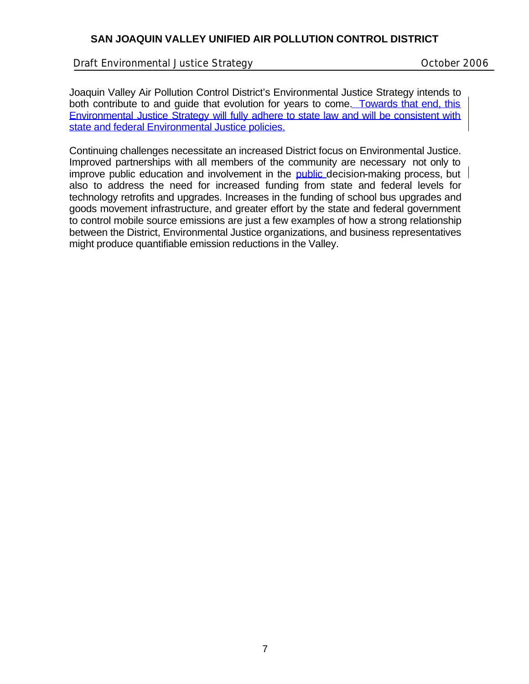Draft Environmental Justice Strategy **Draft Environmental Austice Strategy Contact Contact 2006** 

Joaquin Valley Air Pollution Control District's Environmental Justice Strategy intends to both contribute to and quide that evolution for years to come. Towards that end, this Environmental Justice Strategy will fully adhere to state law and will be consistent with state and federal Environmental Justice policies.

Continuing challenges necessitate an increased District focus on Environmental Justice. Improved partnerships with all members of the community are necessary not only to improve public education and involvement in the **public** decision-making process, but also to address the need for increased funding from state and federal levels for technology retrofits and upgrades. Increases in the funding of school bus upgrades and goods movement infrastructure, and greater effort by the state and federal government to control mobile source emissions are just a few examples of how a strong relationship between the District, Environmental Justice organizations, and business representatives might produce quantifiable emission reductions in the Valley.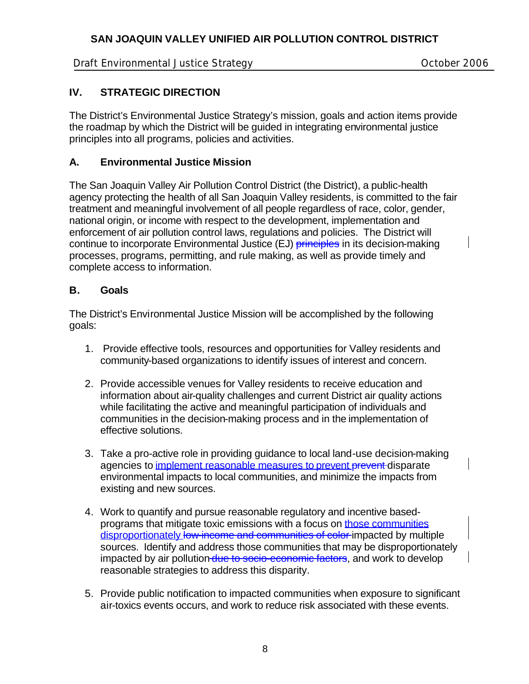Draft Environmental Justice Strategy **Draft Environmental Austice Strategy Container** 2006

# **IV. STRATEGIC DIRECTION**

The District's Environmental Justice Strategy's mission, goals and action items provide the roadmap by which the District will be guided in integrating environmental justice principles into all programs, policies and activities.

# **A. Environmental Justice Mission**

The San Joaquin Valley Air Pollution Control District (the District), a public-health agency protecting the health of all San Joaquin Valley residents, is committed to the fair treatment and meaningful involvement of all people regardless of race, color, gender, national origin, or income with respect to the development, implementation and enforcement of air pollution control laws, regulations and policies. The District will continue to incorporate Environmental Justice (EJ) principles in its decision-making processes, programs, permitting, and rule making, as well as provide timely and complete access to information.

# **B. Goals**

The District's Environmental Justice Mission will be accomplished by the following goals:

- 1. Provide effective tools, resources and opportunities for Valley residents and community-based organizations to identify issues of interest and concern.
- 2. Provide accessible venues for Valley residents to receive education and information about air-quality challenges and current District air quality actions while facilitating the active and meaningful participation of individuals and communities in the decision-making process and in the implementation of effective solutions.
- 3. Take a pro-active role in providing guidance to local land-use decision-making agencies to *implement reasonable measures to prevent prevent* disparate environmental impacts to local communities, and minimize the impacts from existing and new sources.
- 4. Work to quantify and pursue reasonable regulatory and incentive basedprograms that mitigate toxic emissions with a focus on those communities disproportionately low-income and communities of color-impacted by multiple sources. Identify and address those communities that may be disproportionately impacted by air pollution due to socio-economic factors, and work to develop reasonable strategies to address this disparity.
- 5. Provide public notification to impacted communities when exposure to significant air-toxics events occurs, and work to reduce risk associated with these events.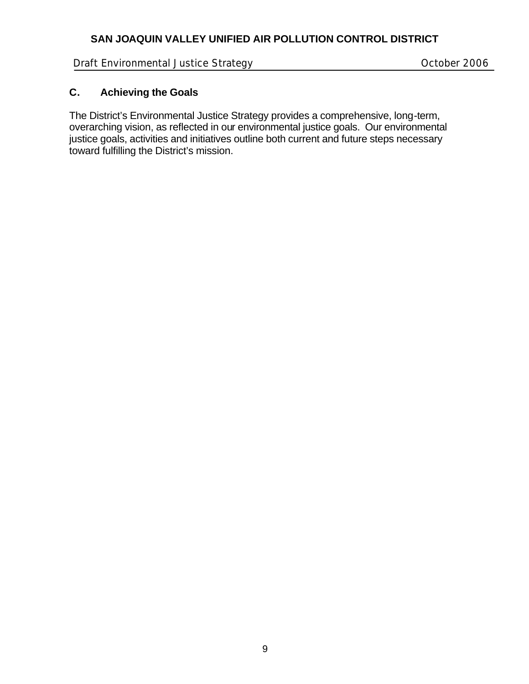Draft Environmental Justice Strategy **Draft Environmental Justice Strategy COLL 2006** 

# **C. Achieving the Goals**

The District's Environmental Justice Strategy provides a comprehensive, long-term, overarching vision, as reflected in our environmental justice goals. Our environmental justice goals, activities and initiatives outline both current and future steps necessary toward fulfilling the District's mission.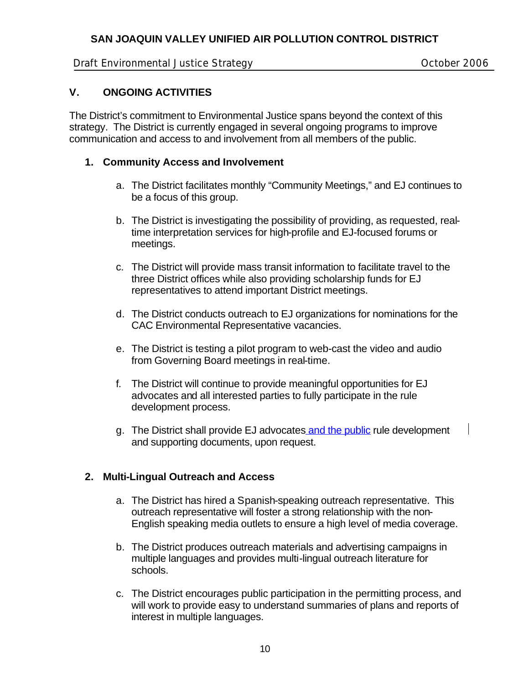Draft Environmental Justice Strategy **Draft Environmental** Justice Strategy

# **V. ONGOING ACTIVITIES**

The District's commitment to Environmental Justice spans beyond the context of this strategy. The District is currently engaged in several ongoing programs to improve communication and access to and involvement from all members of the public.

### **1. Community Access and Involvement**

- a. The District facilitates monthly "Community Meetings," and EJ continues to be a focus of this group.
- b. The District is investigating the possibility of providing, as requested, realtime interpretation services for high-profile and EJ-focused forums or meetings.
- c. The District will provide mass transit information to facilitate travel to the three District offices while also providing scholarship funds for EJ representatives to attend important District meetings.
- d. The District conducts outreach to EJ organizations for nominations for the CAC Environmental Representative vacancies.
- e. The District is testing a pilot program to web-cast the video and audio from Governing Board meetings in real-time.
- f. The District will continue to provide meaningful opportunities for EJ advocates and all interested parties to fully participate in the rule development process.
- g. The District shall provide EJ advocates and the public rule development and supporting documents, upon request.

## **2. Multi-Lingual Outreach and Access**

- a. The District has hired a Spanish-speaking outreach representative. This outreach representative will foster a strong relationship with the non-English speaking media outlets to ensure a high level of media coverage.
- b. The District produces outreach materials and advertising campaigns in multiple languages and provides multi-lingual outreach literature for schools.
- c. The District encourages public participation in the permitting process, and will work to provide easy to understand summaries of plans and reports of interest in multiple languages.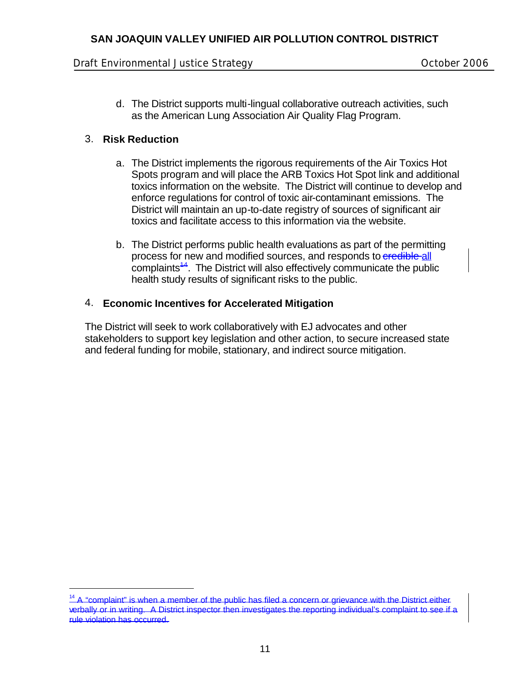#### Draft Environmental Justice Strategy **Draft Environmental Austice Strategy Container** 2006

d. The District supports multi-lingual collaborative outreach activities, such as the American Lung Association Air Quality Flag Program.

### 3. **Risk Reduction**

i<br>Li

- a. The District implements the rigorous requirements of the Air Toxics Hot Spots program and will place the ARB Toxics Hot Spot link and additional toxics information on the website. The District will continue to develop and enforce regulations for control of toxic air-contaminant emissions. The District will maintain an up-to-date registry of sources of significant air toxics and facilitate access to this information via the website.
- b. The District performs public health evaluations as part of the permitting process for new and modified sources, and responds to credible all complaints<sup>14</sup>. The District will also effectively communicate the public health study results of significant risks to the public.

### 4. **Economic Incentives for Accelerated Mitigation**

The District will seek to work collaboratively with EJ advocates and other stakeholders to support key legislation and other action, to secure increased state and federal funding for mobile, stationary, and indirect source mitigation.

 $14$  A "complaint" is when a member of the public has filed a concern or grievance with the District either verbally or in writing. A District inspector then investigates the reporting individual's complaint to see if a rule violation has occurred.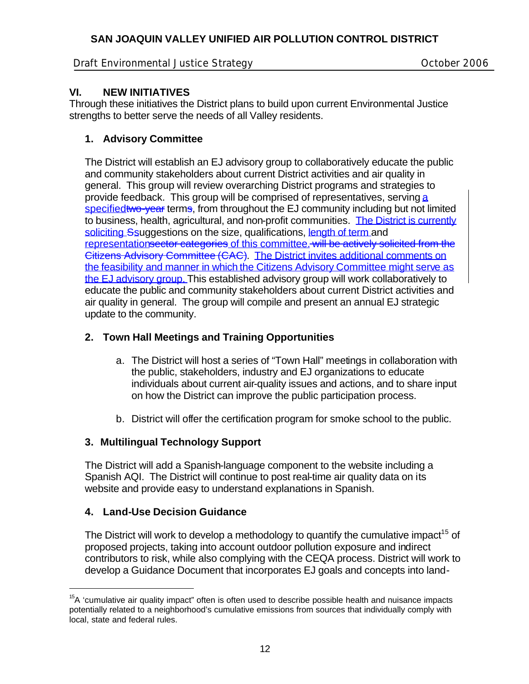## Draft Environmental Justice Strategy **Draft Environmental Austice Strategy Container** 2006

# **VI. NEW INITIATIVES**

Through these initiatives the District plans to build upon current Environmental Justice strengths to better serve the needs of all Valley residents.

## **1. Advisory Committee**

The District will establish an EJ advisory group to collaboratively educate the public and community stakeholders about current District activities and air quality in general. This group will review overarching District programs and strategies to provide feedback. This group will be comprised of representatives, serving a specified two-year terms, from throughout the EJ community including but not limited to business, health, agricultural, and non-profit communities. The District is currently soliciting Ssuggestions on the size, qualifications, length of term and representationsector categories of this committee. will be actively solicited from the Citizens Advisory Committee (CAC). The District invites additional comments on the feasibility and manner in which the Citizens Advisory Committee might serve as the EJ advisory group. This established advisory group will work collaboratively to educate the public and community stakeholders about current District activities and air quality in general. The group will compile and present an annual EJ strategic update to the community.

# **2. Town Hall Meetings and Training Opportunities**

- a. The District will host a series of "Town Hall" meetings in collaboration with the public, stakeholders, industry and EJ organizations to educate individuals about current air-quality issues and actions, and to share input on how the District can improve the public participation process.
- b. District will offer the certification program for smoke school to the public.

# **3. Multilingual Technology Support**

The District will add a Spanish-language component to the website including a Spanish AQI. The District will continue to post real-time air quality data on its website and provide easy to understand explanations in Spanish.

# **4. Land-Use Decision Guidance**

i<br>Li

The District will work to develop a methodology to quantify the cumulative impact<sup>15</sup> of proposed projects, taking into account outdoor pollution exposure and indirect contributors to risk, while also complying with the CEQA process. District will work to develop a Guidance Document that incorporates EJ goals and concepts into land-

 $15A$  'cumulative air quality impact" often is often used to describe possible health and nuisance impacts potentially related to a neighborhood's cumulative emissions from sources that individually comply with local, state and federal rules.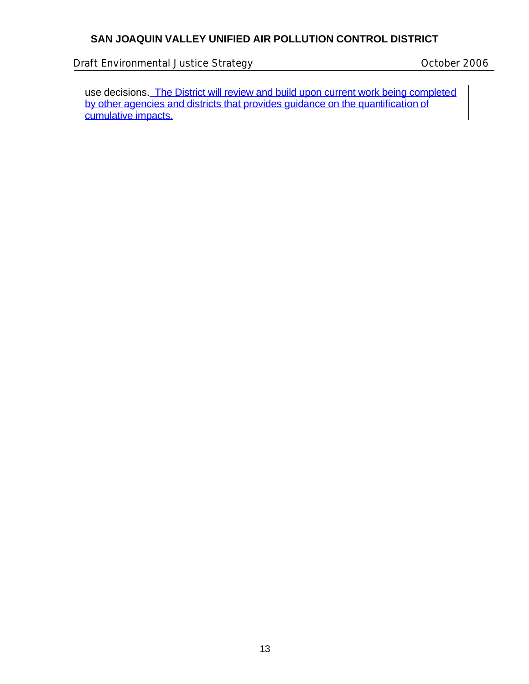Draft Environmental Justice Strategy **Draft Environmental Justice Strategy COLLEGY** 

use decisions. The District will review and build upon current work being completed by other agencies and districts that provides guidance on the quantification of cumulative impacts.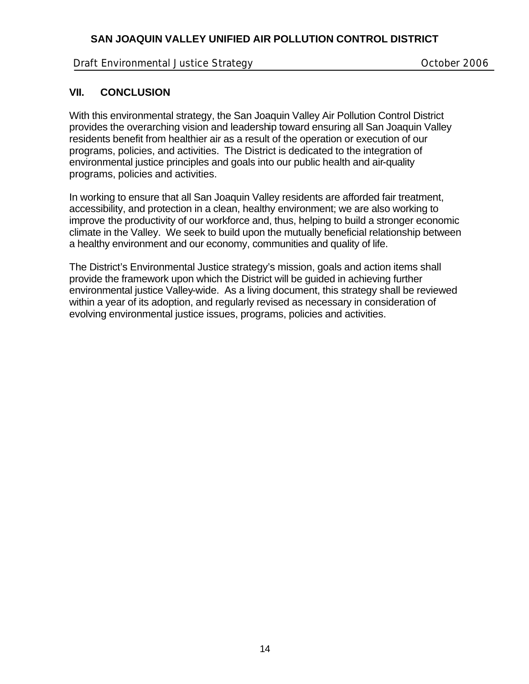#### Draft Environmental Justice Strategy **Draft Environmental Austice Strategy Contact Contact 2006**

### **VII. CONCLUSION**

With this environmental strategy, the San Joaquin Valley Air Pollution Control District provides the overarching vision and leadership toward ensuring all San Joaquin Valley residents benefit from healthier air as a result of the operation or execution of our programs, policies, and activities. The District is dedicated to the integration of environmental justice principles and goals into our public health and air-quality programs, policies and activities.

In working to ensure that all San Joaquin Valley residents are afforded fair treatment, accessibility, and protection in a clean, healthy environment; we are also working to improve the productivity of our workforce and, thus, helping to build a stronger economic climate in the Valley. We seek to build upon the mutually beneficial relationship between a healthy environment and our economy, communities and quality of life.

The District's Environmental Justice strategy's mission, goals and action items shall provide the framework upon which the District will be guided in achieving further environmental justice Valley-wide. As a living document, this strategy shall be reviewed within a year of its adoption, and regularly revised as necessary in consideration of evolving environmental justice issues, programs, policies and activities.